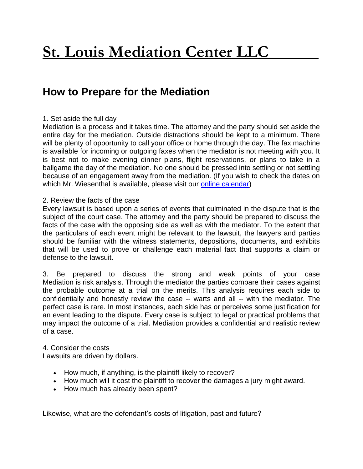# **St. Louis Mediation Center LLC**

# **How to Prepare for the Mediation**

# 1. Set aside the full day

Mediation is a process and it takes time. The attorney and the party should set aside the entire day for the mediation. Outside distractions should be kept to a minimum. There will be plenty of opportunity to call your office or home through the day. The fax machine is available for incoming or outgoing faxes when the mediator is not meeting with you. It is best not to make evening dinner plans, flight reservations, or plans to take in a ballgame the day of the mediation. No one should be pressed into settling or not settling because of an engagement away from the mediation. (If you wish to check the dates on which Mr. Wiesenthal is available, please visit our [online calendar\)](http://stlouismediation.com/ContactUs.aspx)

## 2. Review the facts of the case

Every lawsuit is based upon a series of events that culminated in the dispute that is the subject of the court case. The attorney and the party should be prepared to discuss the facts of the case with the opposing side as well as with the mediator. To the extent that the particulars of each event might be relevant to the lawsuit, the lawyers and parties should be familiar with the witness statements, depositions, documents, and exhibits that will be used to prove or challenge each material fact that supports a claim or defense to the lawsuit.

3. Be prepared to discuss the strong and weak points of your case Mediation is risk analysis. Through the mediator the parties compare their cases against the probable outcome at a trial on the merits. This analysis requires each side to confidentially and honestly review the case -- warts and all -- with the mediator. The perfect case is rare. In most instances, each side has or perceives some justification for an event leading to the dispute. Every case is subject to legal or practical problems that may impact the outcome of a trial. Mediation provides a confidential and realistic review of a case.

## 4. Consider the costs

Lawsuits are driven by dollars.

- How much, if anything, is the plaintiff likely to recover?
- How much will it cost the plaintiff to recover the damages a jury might award.
- How much has already been spent?

Likewise, what are the defendant's costs of litigation, past and future?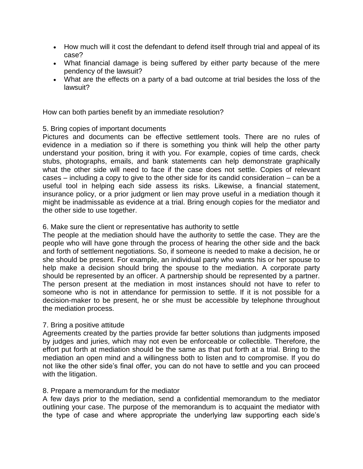- How much will it cost the defendant to defend itself through trial and appeal of its case?
- What financial damage is being suffered by either party because of the mere pendency of the lawsuit?
- What are the effects on a party of a bad outcome at trial besides the loss of the lawsuit?

How can both parties benefit by an immediate resolution?

#### 5. Bring copies of important documents

Pictures and documents can be effective settlement tools. There are no rules of evidence in a mediation so if there is something you think will help the other party understand your position, bring it with you. For example, copies of time cards, check stubs, photographs, emails, and bank statements can help demonstrate graphically what the other side will need to face if the case does not settle. Copies of relevant cases – including a copy to give to the other side for its candid consideration – can be a useful tool in helping each side assess its risks. Likewise, a financial statement, insurance policy, or a prior judgment or lien may prove useful in a mediation though it might be inadmissable as evidence at a trial. Bring enough copies for the mediator and the other side to use together.

#### 6. Make sure the client or representative has authority to settle

The people at the mediation should have the authority to settle the case. They are the people who will have gone through the process of hearing the other side and the back and forth of settlement negotiations. So, if someone is needed to make a decision, he or she should be present. For example, an individual party who wants his or her spouse to help make a decision should bring the spouse to the mediation. A corporate party should be represented by an officer. A partnership should be represented by a partner. The person present at the mediation in most instances should not have to refer to someone who is not in attendance for permission to settle. If it is not possible for a decision-maker to be present, he or she must be accessible by telephone throughout the mediation process.

#### 7. Bring a positive attitude

Agreements created by the parties provide far better solutions than judgments imposed by judges and juries, which may not even be enforceable or collectible. Therefore, the effort put forth at mediation should be the same as that put forth at a trial. Bring to the mediation an open mind and a willingness both to listen and to compromise. If you do not like the other side's final offer, you can do not have to settle and you can proceed with the litigation.

#### 8. Prepare a memorandum for the mediator

A few days prior to the mediation, send a confidential memorandum to the mediator outlining your case. The purpose of the memorandum is to acquaint the mediator with the type of case and where appropriate the underlying law supporting each side's